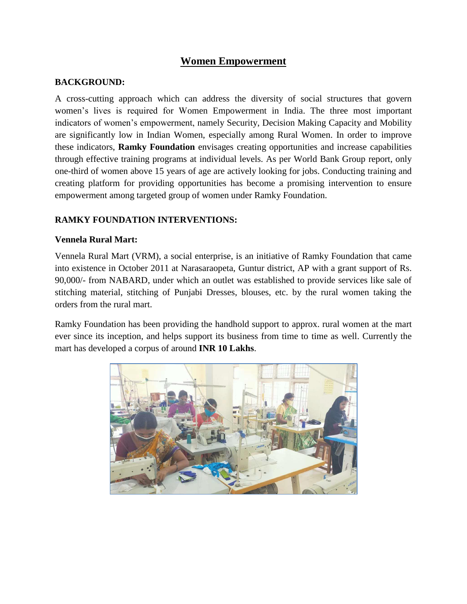# **Women Empowerment**

# **BACKGROUND:**

A cross-cutting approach which can address the diversity of social structures that govern women's lives is required for Women Empowerment in India. The three most important indicators of women's empowerment, namely Security, Decision Making Capacity and Mobility are significantly low in Indian Women, especially among Rural Women. In order to improve these indicators, **Ramky Foundation** envisages creating opportunities and increase capabilities through effective training programs at individual levels. As per World Bank Group report, only one-third of women above 15 years of age are actively looking for jobs. Conducting training and creating platform for providing opportunities has become a promising intervention to ensure empowerment among targeted group of women under Ramky Foundation.

# **RAMKY FOUNDATION INTERVENTIONS:**

### **Vennela Rural Mart:**

Vennela Rural Mart (VRM), a social enterprise, is an initiative of Ramky Foundation that came into existence in October 2011 at Narasaraopeta, Guntur district, AP with a grant support of Rs. 90,000/- from NABARD, under which an outlet was established to provide services like sale of stitching material, stitching of Punjabi Dresses, blouses, etc. by the rural women taking the orders from the rural mart.

Ramky Foundation has been providing the handhold support to approx. rural women at the mart ever since its inception, and helps support its business from time to time as well. Currently the mart has developed a corpus of around **INR 10 Lakhs**.

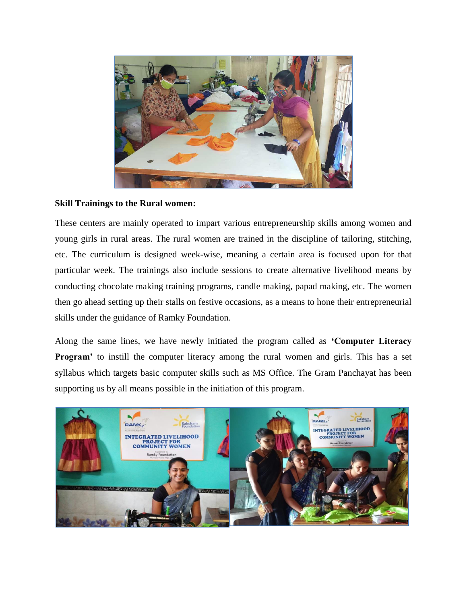

### **Skill Trainings to the Rural women:**

These centers are mainly operated to impart various entrepreneurship skills among women and young girls in rural areas. The rural women are trained in the discipline of tailoring, stitching, etc. The curriculum is designed week-wise, meaning a certain area is focused upon for that particular week. The trainings also include sessions to create alternative livelihood means by conducting chocolate making training programs, candle making, papad making, etc. The women then go ahead setting up their stalls on festive occasions, as a means to hone their entrepreneurial skills under the guidance of Ramky Foundation.

Along the same lines, we have newly initiated the program called as **'Computer Literacy Program'** to instill the computer literacy among the rural women and girls. This has a set syllabus which targets basic computer skills such as MS Office. The Gram Panchayat has been supporting us by all means possible in the initiation of this program.

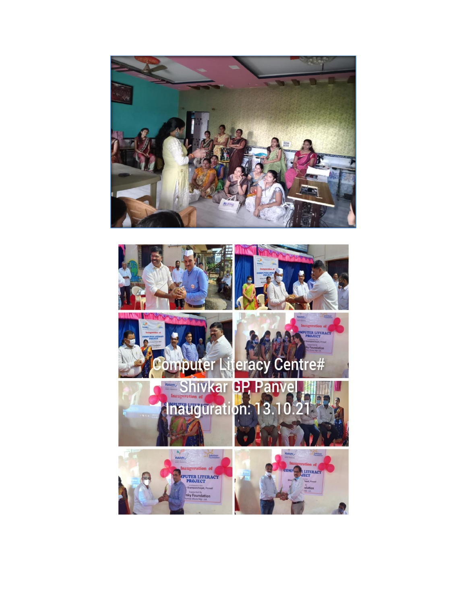